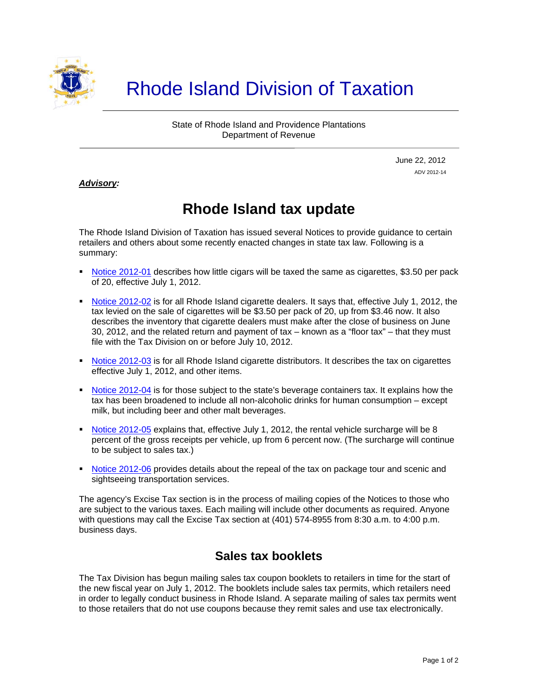

# Rhode Island Division of Taxation

State of Rhode Island and Providence Plantations Department of Revenue

> June 22, 2012 ADV 2012-14

#### *Advisory:*

j

## **Rhode Island tax update**

The Rhode Island Division of Taxation has issued several Notices to provide guidance to certain retailers and others about some recently enacted changes in state tax law. Following is a summary:

- [Notice 2012-01](http://www.tax.ri.gov/notice/2012/2012-01%20Little%20Cigars.pdf) describes how little cigars will be taxed the same as cigarettes, \$3.50 per pack of 20, effective July 1, 2012.
- [Notice 2012-02](http://www.tax.ri.gov/notice/2012/2012-02%20Cig%20Dealer%20Tax%20Chg.pdf) is for all Rhode Island cigarette dealers. It says that, effective July 1, 2012, the tax levied on the sale of cigarettes will be \$3.50 per pack of 20, up from \$3.46 now. It also describes the inventory that cigarette dealers must make after the close of business on June 30, 2012, and the related return and payment of tax – known as a "floor tax" – that they must file with the Tax Division on or before July 10, 2012.
- **[Notice 2012-03](http://www.tax.ri.gov/notice/2012/2012-03%20Cig%20Distrib%20Tax%20Chg.pdf) is for all Rhode Island cigarette distributors. It describes the tax on cigarettes** effective July 1, 2012, and other items.
- [Notice 2012-04](http://www.tax.ri.gov/notice/2012/2012-04%20Beverage%20Container%20Tax.pdf) is for those subject to the state's beverage containers tax. It explains how the tax has been broadened to include all non-alcoholic drinks for human consumption – except milk, but including beer and other malt beverages.
- [Notice 2012-05](http://www.tax.ri.gov/notice/2012/2012-05%20Rental%20Veh%20Surchg.pdf) explains that, effective July 1, 2012, the rental vehicle surcharge will be 8 percent of the gross receipts per vehicle, up from 6 percent now. (The surcharge will continue to be subject to sales tax.)
- [Notice 2012-06](http://www.tax.ri.gov/notice/2012/Notice%202012-06%20-%20Repeal%20of%20tax%20on%20package%20tours%2006-22-12.pdf) provides details about the repeal of the tax on package tour and scenic and sightseeing transportation services.

The agency's Excise Tax section is in the process of mailing copies of the Notices to those who are subject to the various taxes. Each mailing will include other documents as required. Anyone with questions may call the Excise Tax section at (401) 574-8955 from 8:30 a.m. to 4:00 p.m. business days.

#### **Sales tax booklets**

The Tax Division has begun mailing sales tax coupon booklets to retailers in time for the start of the new fiscal year on July 1, 2012. The booklets include sales tax permits, which retailers need in order to legally conduct business in Rhode Island. A separate mailing of sales tax permits went to those retailers that do not use coupons because they remit sales and use tax electronically.